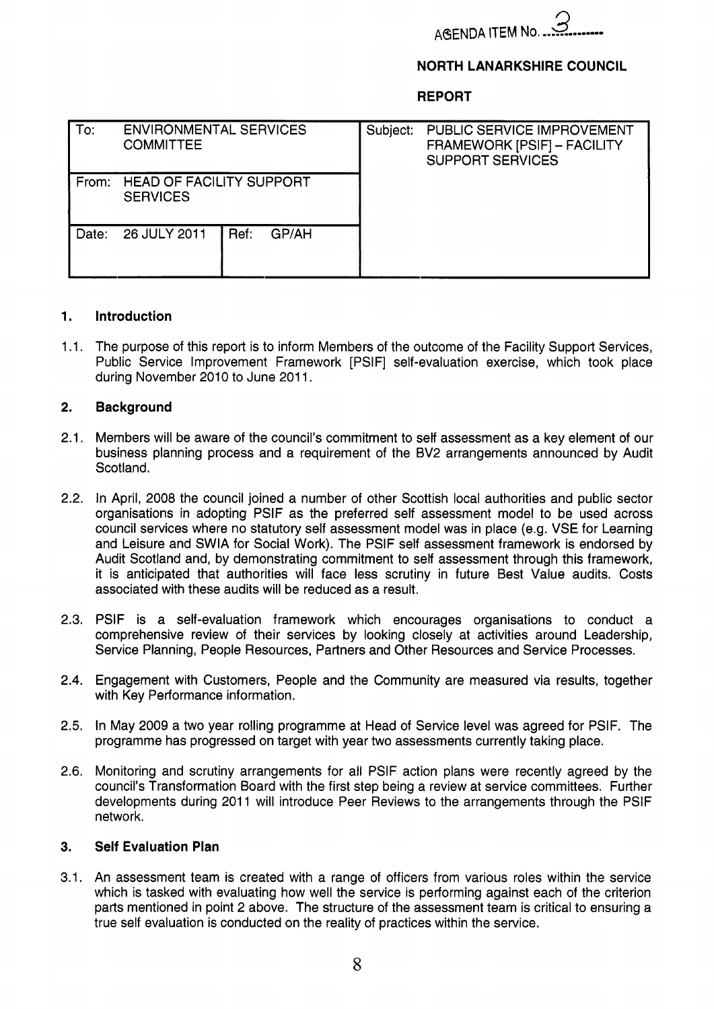

### **NORTH LANARKSHIRE COUNCIL**

**REPORT** 

| To:   | <b>ENVIRONMENTAL SERVICES</b><br><b>COMMITTEE</b>  |               | Subject: | PUBLIC SERVICE IMPROVEMENT<br>FRAMEWORK [PSIF] - FACILITY<br><b>SUPPORT SERVICES</b> |
|-------|----------------------------------------------------|---------------|----------|--------------------------------------------------------------------------------------|
| From: | <b>HEAD OF FACILITY SUPPORT</b><br><b>SERVICES</b> |               |          |                                                                                      |
| Date: | 26 JULY 2011                                       | Ref:<br>GP/AH |          |                                                                                      |

#### **1. Introduction**

1.1. The purpose of this report is to inform Members of the outcome of the Facility Support Services, Public Service Improvement Framework [PSIF] self-evaluation exercise, which took place during November 2010 to June 2011.

#### **2. Background**

- $2.1.$ Members will be aware of the council's commitment to self assessment as a key element of our business planning process and a requirement of the BV2 arrangements announced by Audit Scotland.
- 2.2. In April, 2008 the council joined a number of other Scottish local authorities and public sector organisations in adopting PSlF as the preferred self assessment model to be used across council services where no statutory self assessment model was in place (e.g. VSE for Learning and Leisure and SWlA for Social Work). The PSlF self assessment framework is endorsed by Audit Scotland and, by demonstrating commitment to self assessment through this framework, it is anticipated that authorities will face less scrutiny in future Best Value audits. Costs associated with these audits will be reduced as a result.
- 2.3. PSIF is a self-evaluation framework which encourages organisations to conduct a comprehensive review of their services by looking closely at activities around Leadership, Service Planning, People Resources, Partners and Other Resources and Service Processes.
- 2.4. Engagement with Customers, People and the Community are measured via results, together with Key Performance information.
- 2.5. In May 2009 a two year rolling programme at Head of Service level was agreed for PSIF. The programme has progressed on target with year two assessments currently taking place.
- 2.6. Monitoring and scrutiny arrangements for all PSlF action plans were recently agreed by the council's Transformation Board with the first step being a review at service committees. Further developments during 2011 will introduce Peer Reviews to the arrangements through the PSIF network.

#### **3. Self Evaluation Plan**

3.1. An assessment team is created with a range of officers from various roles within the service which is tasked with evaluating how well the service is performing against each of the criterion parts mentioned in point 2 above. The structure of the assessment team is critical to ensuring a true self evaluation is conducted on the reality of practices within the service.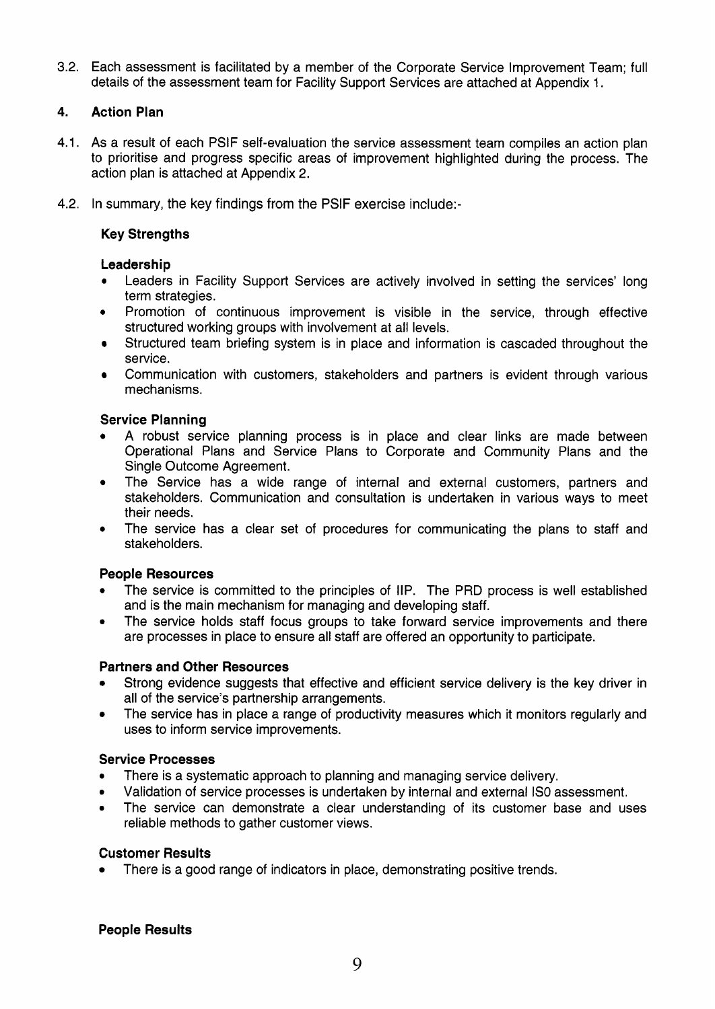3.2. Each assessment is facilitated by a member of the Corporate Service Improvement Team; full details of the assessment team for Facility Support Services are attached at Appendix 1.

# **4. Action Plan**

- 4.1. As a result of each PSlF self-evaluation the service assessment team compiles an action plan to prioritise and progress specific areas of improvement highlighted during the process. The action plan is attached at Appendix 2.
- 4.2. In summary, the key findings from the PSlF exercise include:-

# **Key Strengths**

# **Leadership**

- Leaders in Facility Support Services are actively involved in setting the services' long term strategies.
- **•** Promotion of continuous improvement is visible in the service, through effective structured working groups with involvement at all levels.
- Structured team briefing system is in place and information is cascaded throughout the service.
- Communication with customers, stakeholders and partners is evident through various mechanisms.

### **Service Planning**

- A robust service planning process is in place and clear links are made between Operational Plans and Service Plans to Corporate and Community Plans and the Single Outcome Agreement.
- The Service has a wide range of internal and external customers, partners and stakeholders. Communication and consultation is undertaken in various ways to meet their needs.
- The service has a clear set of procedures for communicating the plans to staff and stakeholders. *0*

### **People Resources**

- *0*  The service is committed to the principles of IIP. The PRD process is well established and is the main mechanism for managing and developing staff.
- *0*  The service holds staff focus groups to take forward service improvements and there are processes in place to ensure all staff are offered an opportunity to participate.

### **Partners and Other Resources**

- Strong evidence suggests that effective and efficient service delivery is the key driver in all of the service's partnership arrangements.
- The service has in place a range of productivity measures which it monitors regularly and  $\bullet$ uses to inform service improvements.

### **Service Processes**

- *0*  There is a systematic approach to planning and managing service delivery.
- *0*  Validation of service processes is undertaken by internal and external IS0 assessment.
- *0*  The service can demonstrate a clear understanding of its customer base and uses reliable methods to gather customer views.

### **Customer Results**

There is a good range of indicators in place, demonstrating positive trends.

### **People Results**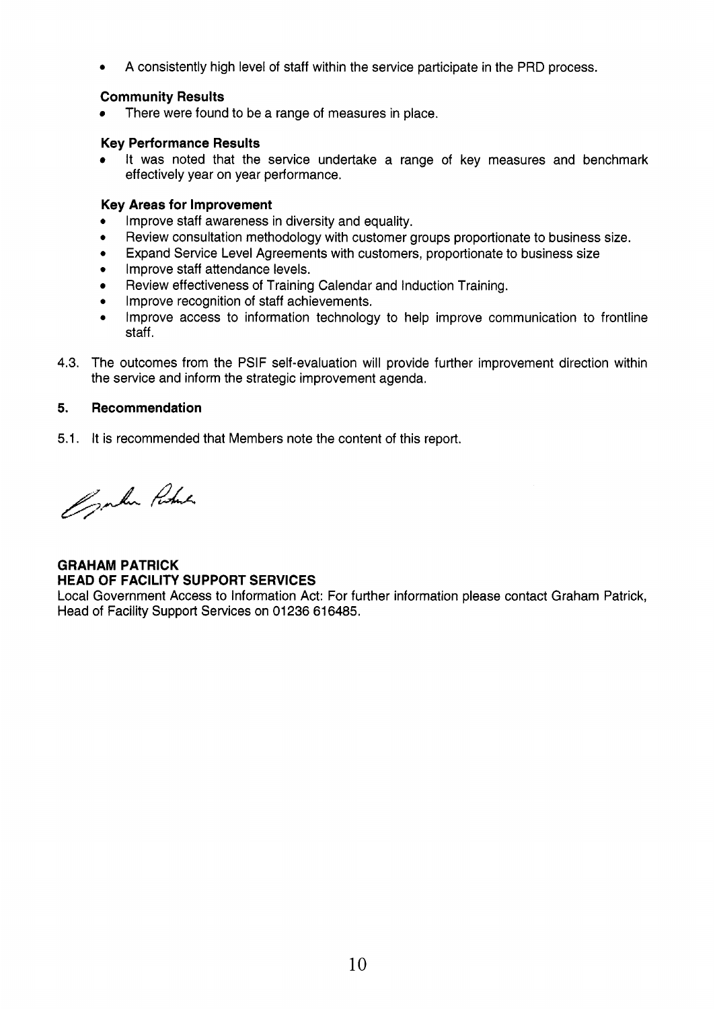*0* **A** consistently high level of staff within the service participate in the PRD process.

# **Community Results**

There were found to be a range of measures in place.

# **Key Performance Results**

It was noted that the service undertake a range of key measures and benchmark effectively year on year performance.

### **Key Areas for Improvement**

- *0*  Improve staff awareness in diversity and equality.
- *0*  Review consultation methodology with customer groups proportionate to business size.
- *0*  Expand Service Level Agreements with customers, proportionate to business size
- Improve staff attendance levels.
- Review effectiveness of Training Calendar and Induction Training.
- *0*  Improve recognition of staff achievements.
- *0*  Improve access to information technology to help improve communication to frontline staff.
- 4.3. The outcomes from the PSIF self-evaluation will provide further improvement direction within the service and inform the strategic improvement agenda.

# **5. Recommendation**

5.1. It is recommended that Members note the content of this report.

Conten Robert

# **GRAHAM PATRICK HEAD OF FACILITY SUPPORT SERVICES**

Local Government Access to Information Act: For further information please contact Graham Patrick, Head of Facility Support Services on 01236 616485.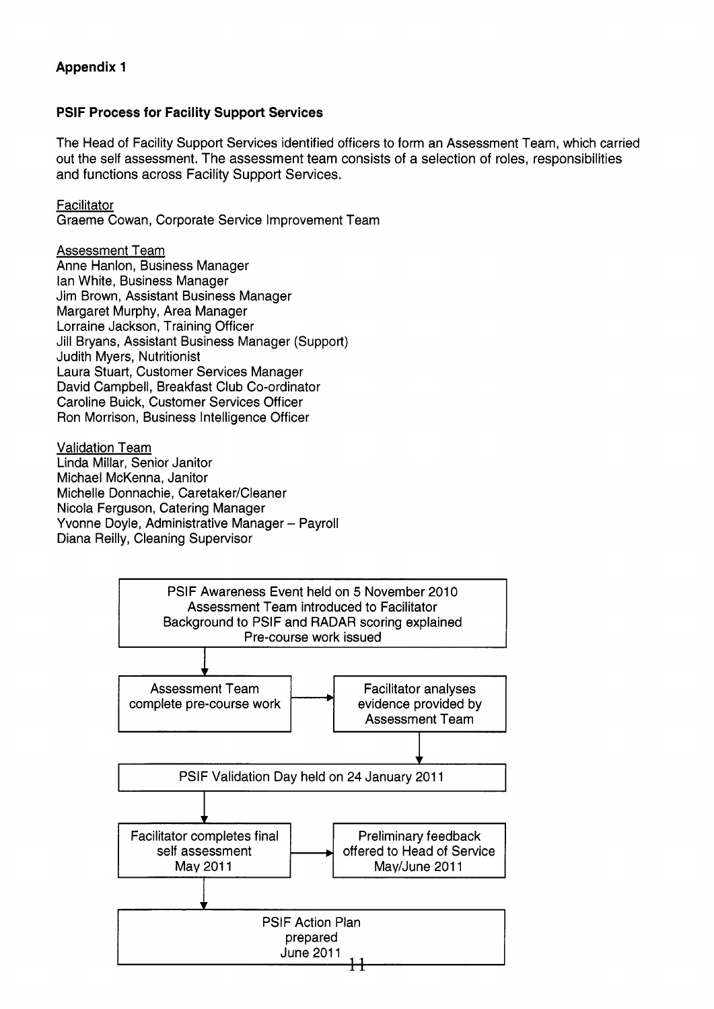# **PSlF Process for Facility Support Services**

The Head of Facility Support Services identified officers to form an Assessment Team, which carried out the self assessment. The assessment team consists of a selection of roles, responsibilities and functions across Facility Support Services.

**Facilitator** 

Graeme Cowan, Corporate Service Improvement Team

Assessment Team

Anne Hanlon, Business Manager lan White, Business Manager Jim Brown, Assistant Business Manager Margaret Murphy, Area Manager Lorraine Jackson, Training Officer Jill Bryans, Assistant Business Manager (Support) Judith Myers, Nutritionist Laura Stuart, Customer Services Manager David Campbell, Breakfast Club Co-ordinator Caroline Buick, Customer Services Officer Ron Morrison, Business Intelligence Officer

Validation Team Linda Millar, Senior Janitor Michael McKenna, Janitor Michelle Donnachie, Caretaker/Cleaner Nicola Ferguson, Catering Manager Yvonne Doyle, Administrative Manager - Payroll Diana Reilly, Cleaning Supervisor

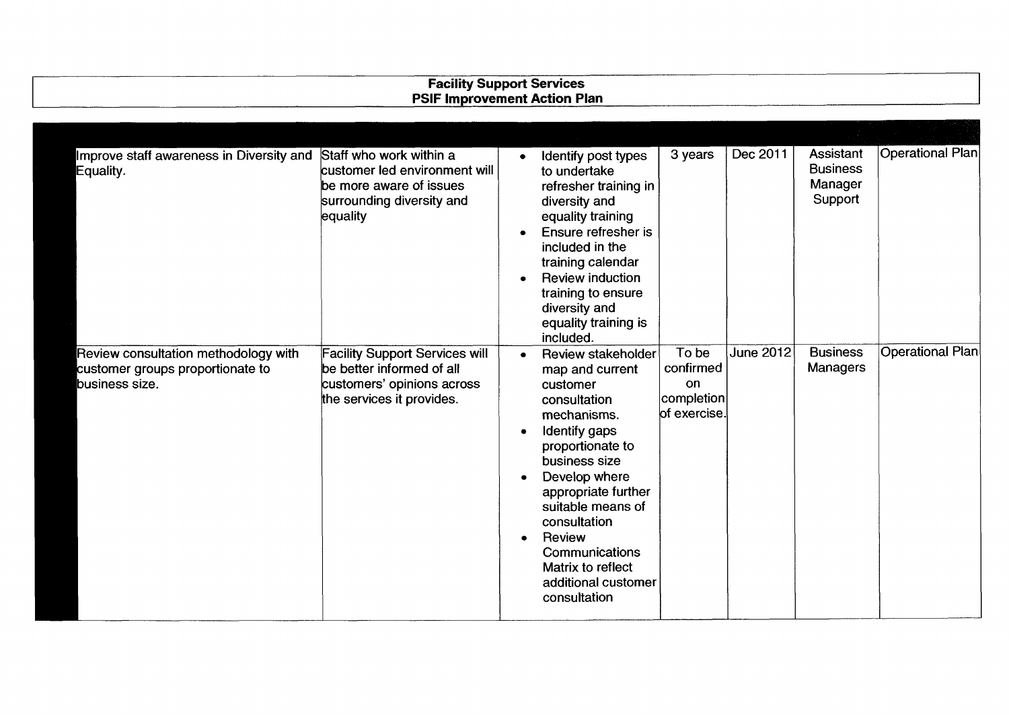| <b>Facility Support Services</b><br><b>PSIF Improvement Action Plan</b>                    |                                                                                                                               |                        |                                                                                                                                                                                                                                                                                                             |                                                                  |                  |                                                    |                         |
|--------------------------------------------------------------------------------------------|-------------------------------------------------------------------------------------------------------------------------------|------------------------|-------------------------------------------------------------------------------------------------------------------------------------------------------------------------------------------------------------------------------------------------------------------------------------------------------------|------------------------------------------------------------------|------------------|----------------------------------------------------|-------------------------|
|                                                                                            |                                                                                                                               |                        |                                                                                                                                                                                                                                                                                                             |                                                                  |                  |                                                    |                         |
| Improve staff awareness in Diversity and<br>Equality.                                      | Staff who work within a<br>customer led environment will<br>be more aware of issues<br>surrounding diversity and<br>equality  |                        | Identify post types<br>to undertake<br>refresher training in<br>diversity and<br>equality training<br>Ensure refresher is<br>included in the<br>training calendar<br><b>Review induction</b><br>training to ensure<br>diversity and<br>equality training is<br>included.                                    | 3 years                                                          | Dec 2011         | Assistant<br><b>Business</b><br>Manager<br>Support | Operational Plan        |
| Review consultation methodology with<br>customer groups proportionate to<br>business size. | <b>Facility Support Services will</b><br>be better informed of all<br>customers' opinions across<br>the services it provides. | $\bullet$<br>$\bullet$ | Review stakeholder<br>map and current<br>customer<br>consultation<br>mechanisms.<br>Identify gaps<br>proportionate to<br>business size<br>Develop where<br>appropriate further<br>suitable means of<br>consultation<br>Review<br>Communications<br>Matrix to reflect<br>additional customer<br>consultation | To be<br>confirmed<br>on<br>$ {\rm completion} $<br>of exercise. | <b>June 2012</b> | <b>Business</b><br><b>Managers</b>                 | <b>Operational Plan</b> |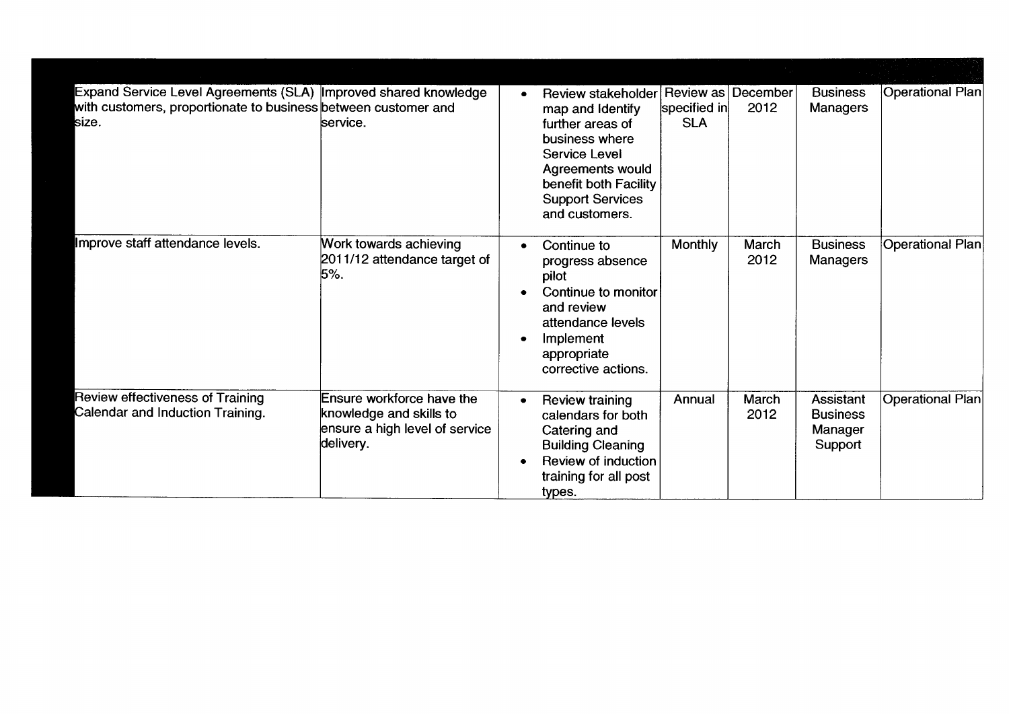| Expand Service Level Agreements (SLA) Improved shared knowledge<br>with customers, proportionate to business between customer and<br>size. | service.                                                                                            | <b>Review stakeholder</b><br>map and Identify<br>further areas of<br>business where<br>Service Level<br><b>Agreements would</b><br>benefit both Facility<br><b>Support Services</b><br>and customers. | Review as December<br>specified in<br><b>SLA</b> | 2012                 | <b>Business</b><br><b>Managers</b>                        | Operational Plan |
|--------------------------------------------------------------------------------------------------------------------------------------------|-----------------------------------------------------------------------------------------------------|-------------------------------------------------------------------------------------------------------------------------------------------------------------------------------------------------------|--------------------------------------------------|----------------------|-----------------------------------------------------------|------------------|
| Improve staff attendance levels.                                                                                                           | Work towards achieving<br>2011/12 attendance target of<br>5%                                        | Continue to<br>progress absence<br>pilot<br>Continue to monitor<br>and review<br>attendance levels<br>Implement<br>appropriate<br>corrective actions.                                                 | Monthly                                          | March<br>2012        | <b>Business</b><br>Managers                               | Operational Plan |
| Review effectiveness of Training<br>Calendar and Induction Training.                                                                       | Ensure workforce have the<br>knowledge and skills to<br>ensure a high level of service<br>delivery. | Review training<br>calendars for both<br>Catering and<br><b>Building Cleaning</b><br><b>Review of induction</b><br>training for all post<br>types.                                                    | Annual                                           | <b>March</b><br>2012 | <b>Assistant</b><br><b>Business</b><br>Manager<br>Support | Operational Plan |